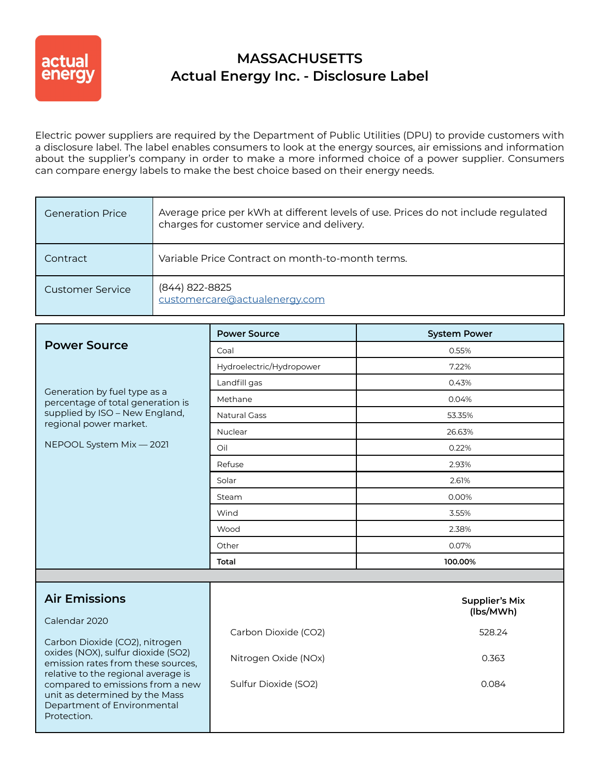

## **MASSACHUSETTS Actual Energy Inc. - Disclosure Label**

Electric power suppliers are required by the Department of Public Utilities (DPU) to provide customers with a disclosure label. The label enables consumers to look at the energy sources, air emissions and information about the supplier's company in order to make a more informed choice of a power supplier. Consumers can compare energy labels to make the best choice based on their energy needs.

| <b>Generation Price</b> | Average price per kWh at different levels of use. Prices do not include regulated<br>charges for customer service and delivery. |
|-------------------------|---------------------------------------------------------------------------------------------------------------------------------|
| Contract                | Variable Price Contract on month-to-month terms.                                                                                |
| Customer Service        | (844) 822-8825<br>customercare@actualenergy.com                                                                                 |

|                                                                                                                  | <b>Power Source</b>      | <b>System Power</b>                |  |
|------------------------------------------------------------------------------------------------------------------|--------------------------|------------------------------------|--|
| <b>Power Source</b>                                                                                              | Coal                     | 0.55%                              |  |
| Generation by fuel type as a<br>percentage of total generation is<br>supplied by ISO - New England,              | Hydroelectric/Hydropower | 7.22%                              |  |
|                                                                                                                  | Landfill gas             | 0.43%                              |  |
|                                                                                                                  | Methane                  | 0.04%                              |  |
|                                                                                                                  | <b>Natural Gass</b>      | 53.35%                             |  |
| regional power market.                                                                                           | Nuclear                  | 26.63%                             |  |
| NEPOOL System Mix - 2021                                                                                         | Oil                      | 0.22%                              |  |
|                                                                                                                  | Refuse                   | 2.93%                              |  |
|                                                                                                                  | Solar                    | 2.61%                              |  |
|                                                                                                                  | Steam                    | 0.00%                              |  |
|                                                                                                                  | Wind                     | 3.55%                              |  |
|                                                                                                                  | Wood                     | 2.38%                              |  |
|                                                                                                                  | 0.07%<br>Other           |                                    |  |
|                                                                                                                  | Total                    | 100.00%                            |  |
|                                                                                                                  |                          |                                    |  |
| <b>Air Emissions</b>                                                                                             |                          | <b>Supplier's Mix</b><br>(lbs/MWh) |  |
| Calendar 2020                                                                                                    | Carbon Dioxide (CO2)     | 528.24                             |  |
| Carbon Dioxide (CO2), nitrogen                                                                                   |                          |                                    |  |
| oxides (NOX), sulfur dioxide (SO2)<br>emission rates from these sources,<br>relative to the regional average is  | Nitrogen Oxide (NOx)     | 0.363                              |  |
| compared to emissions from a new<br>unit as determined by the Mass<br>Department of Environmental<br>Protection. | Sulfur Dioxide (SO2)     | 0.084                              |  |